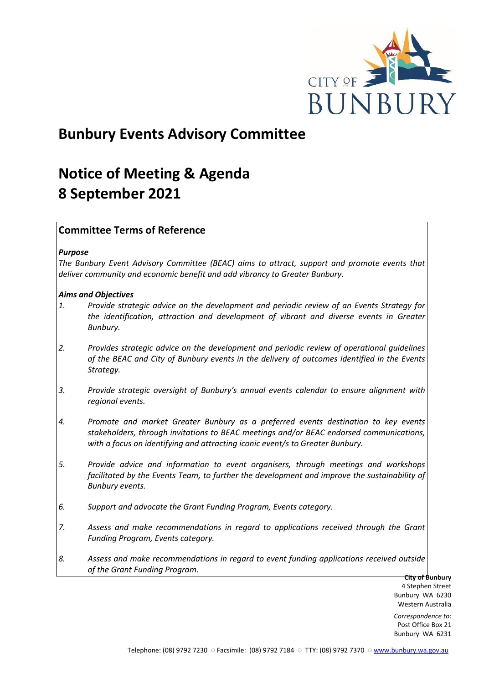

# **Bunbury Events Advisory Committee**

# **Notice of Meeting & Agenda 8 September 2021**

# **Committee Terms of Reference**

## *Purpose*

*The Bunbury Event Advisory Committee (BEAC) aims to attract, support and promote events that deliver community and economic benefit and add vibrancy to Greater Bunbury.*

## *Aims and Objectives*

- *1. Provide strategic advice on the development and periodic review of an Events Strategy for the identification, attraction and development of vibrant and diverse events in Greater Bunbury.*
- *2. Provides strategic advice on the development and periodic review of operational guidelines of the BEAC and City of Bunbury events in the delivery of outcomes identified in the Events Strategy.*
- *3. Provide strategic oversight of Bunbury's annual events calendar to ensure alignment with regional events.*
- *4. Promote and market Greater Bunbury as a preferred events destination to key events stakeholders, through invitations to BEAC meetings and/or BEAC endorsed communications, with a focus on identifying and attracting iconic event/s to Greater Bunbury.*
- *5. Provide advice and information to event organisers, through meetings and workshops*  facilitated by the Events Team, to further the development and improve the sustainability of *Bunbury events.*
- *6. Support and advocate the Grant Funding Program, Events category.*
- *7. Assess and make recommendations in regard to applications received through the Grant Funding Program, Events category.*
- *8. Assess and make recommendations in regard to event funding applications received outside of the Grant Funding Program.*

**City of Bunbury** 4 Stephen Street Bunbury WA 6230 Western Australia

*Correspondence to:* Post Office Box 21 Bunbury WA 6231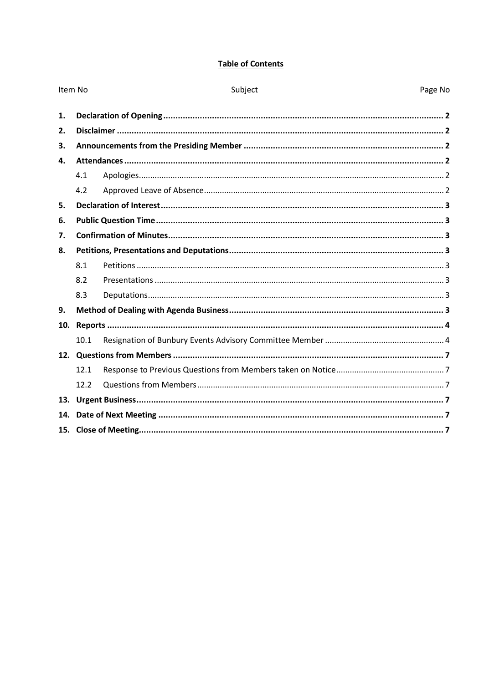# **Table of Contents**

| Item No |      | Subject | Page No |  |  |
|---------|------|---------|---------|--|--|
| 1.      |      |         |         |  |  |
| 2.      |      |         |         |  |  |
| 3.      |      |         |         |  |  |
| 4.      |      |         |         |  |  |
|         | 4.1  |         |         |  |  |
|         | 4.2  |         |         |  |  |
| 5.      |      |         |         |  |  |
| 6.      |      |         |         |  |  |
| 7.      |      |         |         |  |  |
| 8.      |      |         |         |  |  |
|         | 8.1  |         |         |  |  |
|         | 8.2  |         |         |  |  |
|         | 8.3  |         |         |  |  |
| 9.      |      |         |         |  |  |
| 10.     |      |         |         |  |  |
|         | 10.1 |         |         |  |  |
|         |      |         |         |  |  |
|         | 12.1 |         |         |  |  |
|         | 12.2 |         |         |  |  |
| 13.     |      |         |         |  |  |
| 14.     |      |         |         |  |  |
|         |      |         |         |  |  |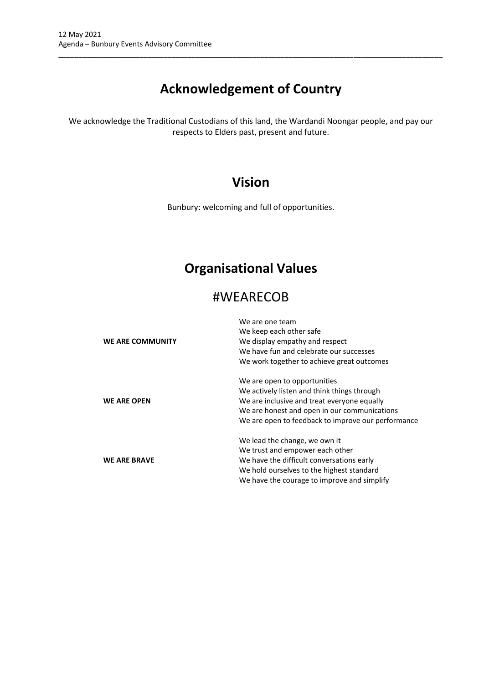# **Acknowledgement of Country**

\_\_\_\_\_\_\_\_\_\_\_\_\_\_\_\_\_\_\_\_\_\_\_\_\_\_\_\_\_\_\_\_\_\_\_\_\_\_\_\_\_\_\_\_\_\_\_\_\_\_\_\_\_\_\_\_\_\_\_\_\_\_\_\_\_\_\_\_\_\_\_\_\_\_\_\_\_\_\_\_\_\_\_\_\_\_\_\_\_\_\_\_\_\_\_

We acknowledge the Traditional Custodians of this land, the Wardandi Noongar people, and pay our respects to Elders past, present and future.

# **Vision**

Bunbury: welcoming and full of opportunities.

# **Organisational Values**

# #WEARECOB

| WE ARE COMMUNITY    | We are one team<br>We keep each other safe<br>We display empathy and respect<br>We have fun and celebrate our successes<br>We work together to achieve great outcomes                                                            |
|---------------------|----------------------------------------------------------------------------------------------------------------------------------------------------------------------------------------------------------------------------------|
| <b>WE ARE OPEN</b>  | We are open to opportunities<br>We actively listen and think things through<br>We are inclusive and treat everyone equally<br>We are honest and open in our communications<br>We are open to feedback to improve our performance |
| <b>WE ARE BRAVE</b> | We lead the change, we own it<br>We trust and empower each other<br>We have the difficult conversations early<br>We hold ourselves to the highest standard<br>We have the courage to improve and simplify                        |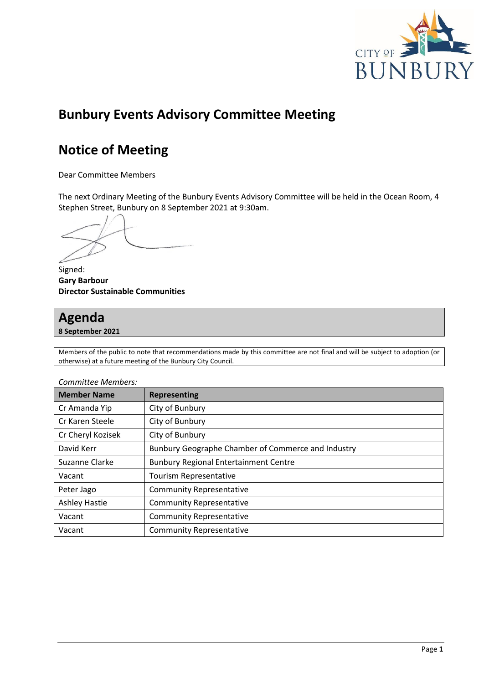

# **Bunbury Events Advisory Committee Meeting**

# **Notice of Meeting**

Dear Committee Members

The next Ordinary Meeting of the Bunbury Events Advisory Committee will be held in the Ocean Room, 4 Stephen Street, Bunbury on 8 September 2021 at 9:30am.

Signed: **Gary Barbour Director Sustainable Communities**

# **Agenda**

**8 September 2021**

Members of the public to note that recommendations made by this committee are not final and will be subject to adoption (or otherwise) at a future meeting of the Bunbury City Council.

| <b>Member Name</b>   | <b>Representing</b>                                |  |  |  |  |
|----------------------|----------------------------------------------------|--|--|--|--|
| Cr Amanda Yip        | City of Bunbury                                    |  |  |  |  |
| Cr Karen Steele      | City of Bunbury                                    |  |  |  |  |
| Cr Cheryl Kozisek    | City of Bunbury                                    |  |  |  |  |
| David Kerr           | Bunbury Geographe Chamber of Commerce and Industry |  |  |  |  |
| Suzanne Clarke       | <b>Bunbury Regional Entertainment Centre</b>       |  |  |  |  |
| Vacant               | Tourism Representative                             |  |  |  |  |
| Peter Jago           | <b>Community Representative</b>                    |  |  |  |  |
| <b>Ashley Hastie</b> | <b>Community Representative</b>                    |  |  |  |  |
| Vacant               | <b>Community Representative</b>                    |  |  |  |  |
| Vacant               | <b>Community Representative</b>                    |  |  |  |  |

#### *Committee Members:*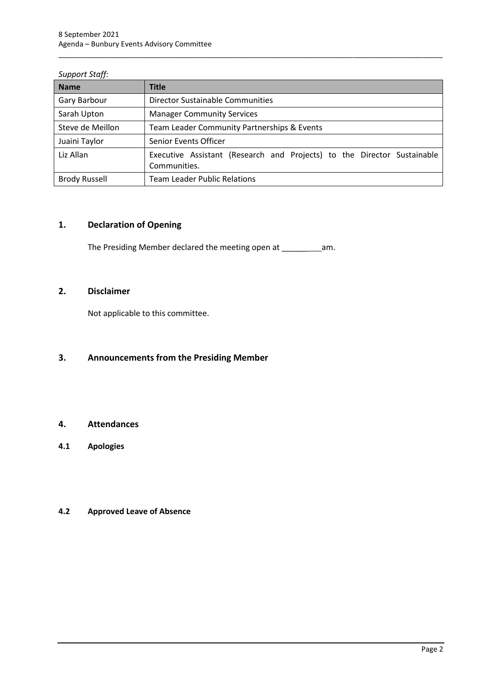| <b>Name</b>          | <b>Title</b>                                                                            |
|----------------------|-----------------------------------------------------------------------------------------|
| Gary Barbour         | Director Sustainable Communities                                                        |
| Sarah Upton          | <b>Manager Community Services</b>                                                       |
| Steve de Meillon     | Team Leader Community Partnerships & Events                                             |
| Juaini Taylor        | Senior Events Officer                                                                   |
| Liz Allan            | Executive Assistant (Research and Projects) to the Director Sustainable<br>Communities. |
| <b>Brody Russell</b> | <b>Team Leader Public Relations</b>                                                     |

\_\_\_\_\_\_\_\_\_\_\_\_\_\_\_\_\_\_\_\_\_\_\_\_\_\_\_\_\_\_\_\_\_\_\_\_\_\_\_\_\_\_\_\_\_\_\_\_\_\_\_\_\_\_\_\_\_\_\_\_\_\_\_\_\_\_\_\_\_\_\_\_\_\_\_\_\_\_\_\_\_\_\_\_\_\_\_\_\_\_\_\_\_\_\_

### *Support Staff:*

# <span id="page-4-0"></span>**1. Declaration of Opening**

The Presiding Member declared the meeting open at \_\_\_\_\_\_\_\_\_\_\_\_\_\_\_\_\_\_\_\_\_\_\_\_\_\_\_\_\_\_\_

# <span id="page-4-1"></span>**2. Disclaimer**

Not applicable to this committee.

# <span id="page-4-2"></span>**3. Announcements from the Presiding Member**

# <span id="page-4-3"></span>**4. Attendances**

<span id="page-4-4"></span>**4.1 Apologies**

# <span id="page-4-5"></span>**4.2 Approved Leave of Absence**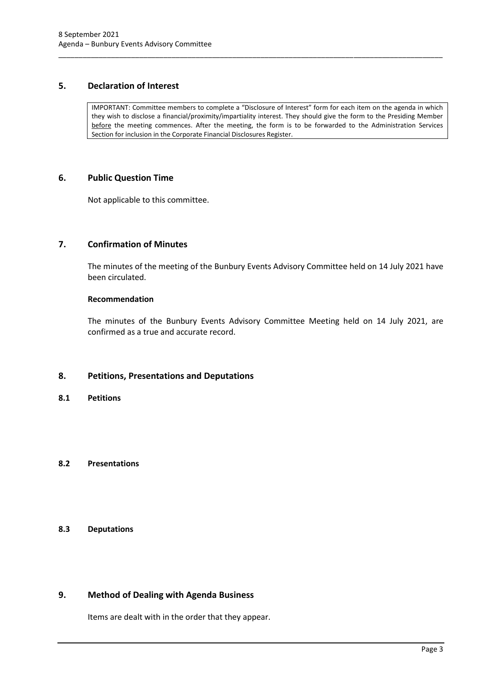# <span id="page-5-0"></span>**5. Declaration of Interest**

IMPORTANT: Committee members to complete a "Disclosure of Interest" form for each item on the agenda in which they wish to disclose a financial/proximity/impartiality interest. They should give the form to the Presiding Member before the meeting commences. After the meeting, the form is to be forwarded to the Administration Services Section for inclusion in the Corporate Financial Disclosures Register.

\_\_\_\_\_\_\_\_\_\_\_\_\_\_\_\_\_\_\_\_\_\_\_\_\_\_\_\_\_\_\_\_\_\_\_\_\_\_\_\_\_\_\_\_\_\_\_\_\_\_\_\_\_\_\_\_\_\_\_\_\_\_\_\_\_\_\_\_\_\_\_\_\_\_\_\_\_\_\_\_\_\_\_\_\_\_\_\_\_\_\_\_\_\_\_

## <span id="page-5-1"></span>**6. Public Question Time**

Not applicable to this committee.

# <span id="page-5-2"></span>**7. Confirmation of Minutes**

The minutes of the meeting of the Bunbury Events Advisory Committee held on 14 July 2021 have been circulated.

#### **Recommendation**

The minutes of the Bunbury Events Advisory Committee Meeting held on 14 July 2021, are confirmed as a true and accurate record.

# <span id="page-5-3"></span>**8. Petitions, Presentations and Deputations**

<span id="page-5-4"></span>**8.1 Petitions**

## <span id="page-5-5"></span>**8.2 Presentations**

# <span id="page-5-6"></span>**8.3 Deputations**

# <span id="page-5-7"></span>**9. Method of Dealing with Agenda Business**

Items are dealt with in the order that they appear.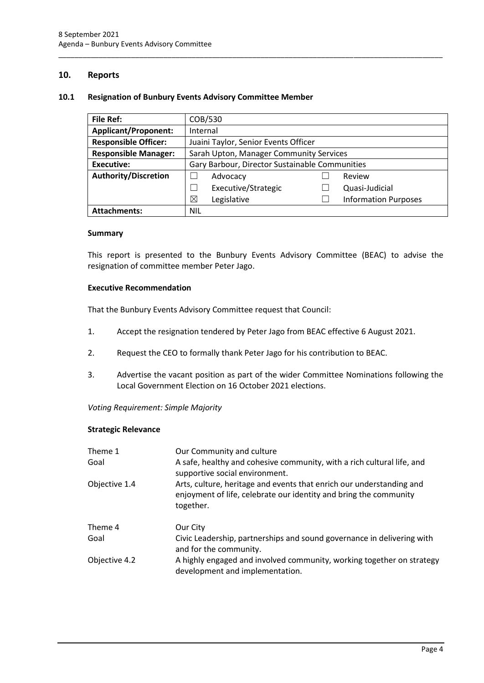# <span id="page-6-0"></span>**10. Reports**

### <span id="page-6-1"></span>**10.1 Resignation of Bunbury Events Advisory Committee Member**

| <b>File Ref:</b>            | COB/530                                        |  |                             |  |
|-----------------------------|------------------------------------------------|--|-----------------------------|--|
| <b>Applicant/Proponent:</b> | Internal                                       |  |                             |  |
| <b>Responsible Officer:</b> | Juaini Taylor, Senior Events Officer           |  |                             |  |
| <b>Responsible Manager:</b> | Sarah Upton, Manager Community Services        |  |                             |  |
| <b>Executive:</b>           | Gary Barbour, Director Sustainable Communities |  |                             |  |
| <b>Authority/Discretion</b> | Advocacy                                       |  | Review                      |  |
|                             | Executive/Strategic                            |  | Quasi-Judicial              |  |
|                             | ⊠<br>Legislative                               |  | <b>Information Purposes</b> |  |
| <b>Attachments:</b>         | <b>NIL</b>                                     |  |                             |  |

\_\_\_\_\_\_\_\_\_\_\_\_\_\_\_\_\_\_\_\_\_\_\_\_\_\_\_\_\_\_\_\_\_\_\_\_\_\_\_\_\_\_\_\_\_\_\_\_\_\_\_\_\_\_\_\_\_\_\_\_\_\_\_\_\_\_\_\_\_\_\_\_\_\_\_\_\_\_\_\_\_\_\_\_\_\_\_\_\_\_\_\_\_\_\_

#### **Summary**

This report is presented to the Bunbury Events Advisory Committee (BEAC) to advise the resignation of committee member Peter Jago.

#### **Executive Recommendation**

That the Bunbury Events Advisory Committee request that Council:

- 1. Accept the resignation tendered by Peter Jago from BEAC effective 6 August 2021.
- 2. Request the CEO to formally thank Peter Jago for his contribution to BEAC.
- 3. Advertise the vacant position as part of the wider Committee Nominations following the Local Government Election on 16 October 2021 elections.

*Voting Requirement: Simple Majority* 

#### **Strategic Relevance**

| Theme 1       | Our Community and culture                                                                                                                              |
|---------------|--------------------------------------------------------------------------------------------------------------------------------------------------------|
| Goal          | A safe, healthy and cohesive community, with a rich cultural life, and<br>supportive social environment.                                               |
| Objective 1.4 | Arts, culture, heritage and events that enrich our understanding and<br>enjoyment of life, celebrate our identity and bring the community<br>together. |
| Theme 4       | Our City                                                                                                                                               |
| Goal          | Civic Leadership, partnerships and sound governance in delivering with<br>and for the community.                                                       |
| Objective 4.2 | A highly engaged and involved community, working together on strategy<br>development and implementation.                                               |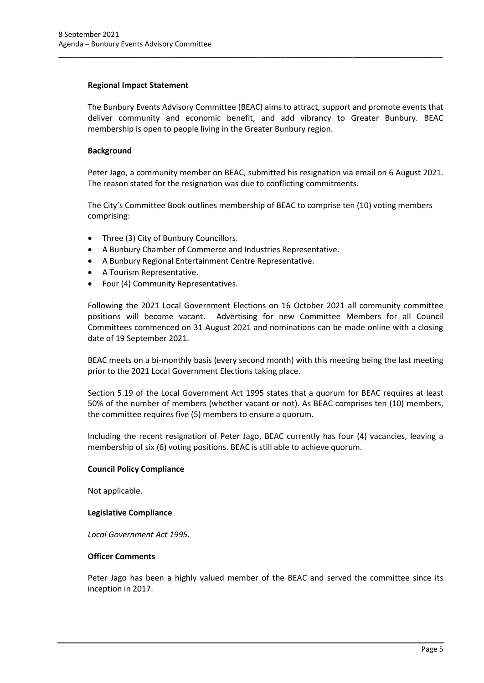### **Regional Impact Statement**

The Bunbury Events Advisory Committee (BEAC) aims to attract, support and promote events that deliver community and economic benefit, and add vibrancy to Greater Bunbury. BEAC membership is open to people living in the Greater Bunbury region.

\_\_\_\_\_\_\_\_\_\_\_\_\_\_\_\_\_\_\_\_\_\_\_\_\_\_\_\_\_\_\_\_\_\_\_\_\_\_\_\_\_\_\_\_\_\_\_\_\_\_\_\_\_\_\_\_\_\_\_\_\_\_\_\_\_\_\_\_\_\_\_\_\_\_\_\_\_\_\_\_\_\_\_\_\_\_\_\_\_\_\_\_\_\_\_

# **Background**

Peter Jago, a community member on BEAC, submitted his resignation via email on 6 August 2021. The reason stated for the resignation was due to conflicting commitments.

The City's Committee Book outlines membership of BEAC to comprise ten (10) voting members comprising:

- Three (3) City of Bunbury Councillors.
- A Bunbury Chamber of Commerce and Industries Representative.
- A Bunbury Regional Entertainment Centre Representative.
- A Tourism Representative.
- Four (4) Community Representatives.

Following the 2021 Local Government Elections on 16 October 2021 all community committee positions will become vacant. Advertising for new Committee Members for all Council Committees commenced on 31 August 2021 and nominations can be made online with a closing date of 19 September 2021.

BEAC meets on a bi-monthly basis (every second month) with this meeting being the last meeting prior to the 2021 Local Government Elections taking place.

Section 5.19 of the Local Government Act 1995 states that a quorum for BEAC requires at least 50% of the number of members (whether vacant or not). As BEAC comprises ten (10) members, the committee requires five (5) members to ensure a quorum.

Including the recent resignation of Peter Jago, BEAC currently has four (4) vacancies, leaving a membership of six (6) voting positions. BEAC is still able to achieve quorum.

#### **Council Policy Compliance**

Not applicable.

#### **Legislative Compliance**

*Local Government Act 1995.*

#### **Officer Comments**

Peter Jago has been a highly valued member of the BEAC and served the committee since its inception in 2017.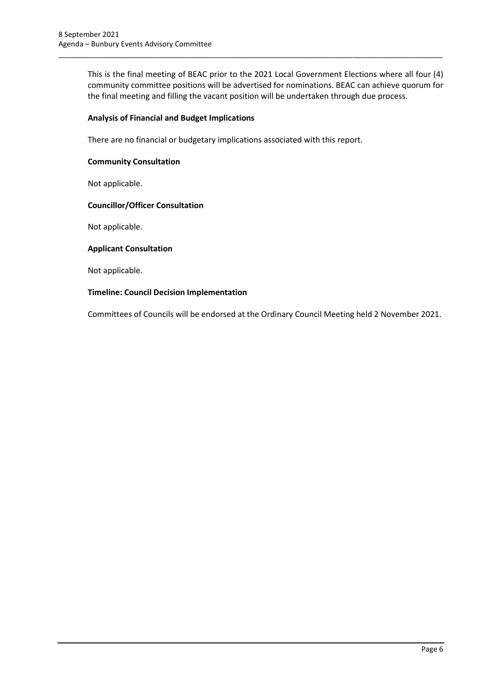This is the final meeting of BEAC prior to the 2021 Local Government Elections where all four (4) community committee positions will be advertised for nominations. BEAC can achieve quorum for the final meeting and filling the vacant position will be undertaken through due process.

\_\_\_\_\_\_\_\_\_\_\_\_\_\_\_\_\_\_\_\_\_\_\_\_\_\_\_\_\_\_\_\_\_\_\_\_\_\_\_\_\_\_\_\_\_\_\_\_\_\_\_\_\_\_\_\_\_\_\_\_\_\_\_\_\_\_\_\_\_\_\_\_\_\_\_\_\_\_\_\_\_\_\_\_\_\_\_\_\_\_\_\_\_\_\_

### **Analysis of Financial and Budget Implications**

There are no financial or budgetary implications associated with this report.

### **Community Consultation**

Not applicable.

#### **Councillor/Officer Consultation**

Not applicable.

## **Applicant Consultation**

Not applicable.

## **Timeline: Council Decision Implementation**

Committees of Councils will be endorsed at the Ordinary Council Meeting held 2 November 2021.